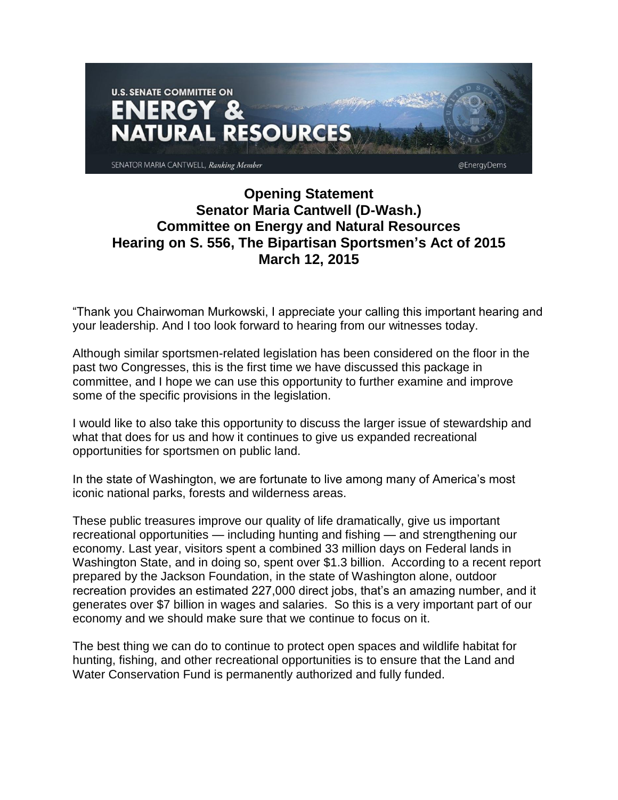

## **Opening Statement Senator Maria Cantwell (D-Wash.) Committee on Energy and Natural Resources Hearing on S. 556, The Bipartisan Sportsmen's Act of 2015 March 12, 2015**

"Thank you Chairwoman Murkowski, I appreciate your calling this important hearing and your leadership. And I too look forward to hearing from our witnesses today.

Although similar sportsmen-related legislation has been considered on the floor in the past two Congresses, this is the first time we have discussed this package in committee, and I hope we can use this opportunity to further examine and improve some of the specific provisions in the legislation.

I would like to also take this opportunity to discuss the larger issue of stewardship and what that does for us and how it continues to give us expanded recreational opportunities for sportsmen on public land.

In the state of Washington, we are fortunate to live among many of America's most iconic national parks, forests and wilderness areas.

These public treasures improve our quality of life dramatically, give us important recreational opportunities — including hunting and fishing — and strengthening our economy. Last year, visitors spent a combined 33 million days on Federal lands in Washington State, and in doing so, spent over \$1.3 billion. According to a recent report prepared by the Jackson Foundation, in the state of Washington alone, outdoor recreation provides an estimated 227,000 direct jobs, that's an amazing number, and it generates over \$7 billion in wages and salaries. So this is a very important part of our economy and we should make sure that we continue to focus on it.

The best thing we can do to continue to protect open spaces and wildlife habitat for hunting, fishing, and other recreational opportunities is to ensure that the Land and Water Conservation Fund is permanently authorized and fully funded.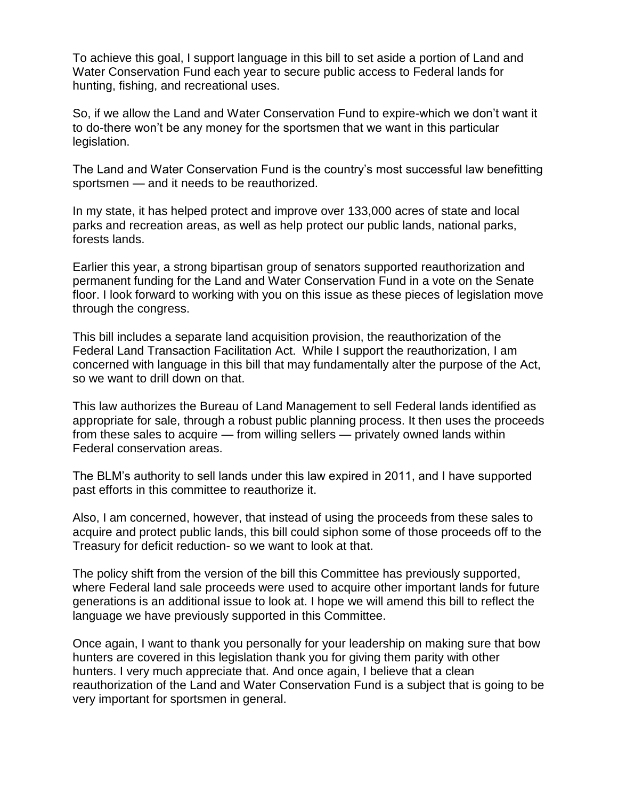To achieve this goal, I support language in this bill to set aside a portion of Land and Water Conservation Fund each year to secure public access to Federal lands for hunting, fishing, and recreational uses.

So, if we allow the Land and Water Conservation Fund to expire-which we don't want it to do-there won't be any money for the sportsmen that we want in this particular legislation.

The Land and Water Conservation Fund is the country's most successful law benefitting sportsmen — and it needs to be reauthorized.

In my state, it has helped protect and improve over 133,000 acres of state and local parks and recreation areas, as well as help protect our public lands, national parks, forests lands.

Earlier this year, a strong bipartisan group of senators supported reauthorization and permanent funding for the Land and Water Conservation Fund in a vote on the Senate floor. I look forward to working with you on this issue as these pieces of legislation move through the congress.

This bill includes a separate land acquisition provision, the reauthorization of the Federal Land Transaction Facilitation Act. While I support the reauthorization, I am concerned with language in this bill that may fundamentally alter the purpose of the Act, so we want to drill down on that.

This law authorizes the Bureau of Land Management to sell Federal lands identified as appropriate for sale, through a robust public planning process. It then uses the proceeds from these sales to acquire — from willing sellers — privately owned lands within Federal conservation areas.

The BLM's authority to sell lands under this law expired in 2011, and I have supported past efforts in this committee to reauthorize it.

Also, I am concerned, however, that instead of using the proceeds from these sales to acquire and protect public lands, this bill could siphon some of those proceeds off to the Treasury for deficit reduction- so we want to look at that.

The policy shift from the version of the bill this Committee has previously supported, where Federal land sale proceeds were used to acquire other important lands for future generations is an additional issue to look at. I hope we will amend this bill to reflect the language we have previously supported in this Committee.

Once again, I want to thank you personally for your leadership on making sure that bow hunters are covered in this legislation thank you for giving them parity with other hunters. I very much appreciate that. And once again, I believe that a clean reauthorization of the Land and Water Conservation Fund is a subject that is going to be very important for sportsmen in general.